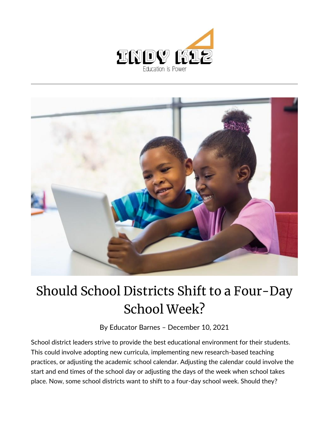



## Should School Districts Shift to a Four-Day School Week?

By [Educator Barnes](https://indy.education/author/shicole/) – December 10, 2021

School district leaders strive to provide the best educational environment for their students. This could involve adopting new curricula, implementing new research-based teaching practices, or adjusting the academic school calendar. Adjusting the calendar could involve the start and end times of the school day or adjusting the days of the week when school takes place. Now, some school districts want to shift to a four-day school week. Should they?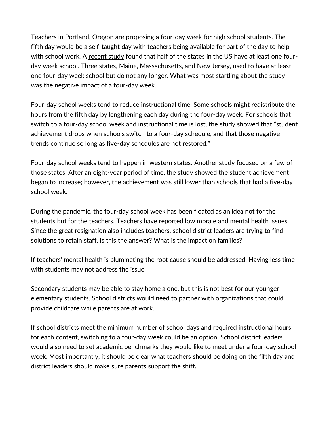Teachers in Portland, Oregon are [proposing](https://www.kgw.com/article/news/education/portland-teachers-self-taught-days-students/283-626f049f-571e-406b-b25e-5be9a24c41f0?fbclid=IwAR3PqiuFVNoUCVh6kZ9dfpBzvWQ-hLdDLGPdyGuu0BISWeOjX9Bo5TXxKRE) a four-day week for high school students. The fifth day would be a self-taught day with teachers being available for part of the day to help with school work. A [recent study](https://www.educationnext.org/shrinking-school-week-effects-four-day-schedule-student-achievement/) found that half of the states in the US have at least one fourday week school. Three states, Maine, Massachusetts, and New Jersey, used to have at least one four-day week school but do not any longer. What was most startling about the study was the negative impact of a four-day week.

Four-day school weeks tend to reduce instructional time. Some schools might redistribute the hours from the fifth day by lengthening each day during the four-day week. For schools that switch to a four-day school week and instructional time is lost, the study showed that "student achievement drops when schools switch to a four-day schedule, and that those negative trends continue so long as five-day schedules are not restored."

Four-day school weeks tend to happen in western states. [Another study](https://www.rand.org/pubs/research_briefs/RBA373-1.html) focused on a few of those states. After an eight-year period of time, the study showed the student achievement began to increase; however, the achievement was still lower than schools that had a five-day school week.

During the pandemic, the four-day school week has been floated as an idea not for the students but for the [teachers.](https://www.kxlf.com/homepage-showcase/st-regis-considering-4-day-school-week-to-help-teachers) Teachers have reported low morale and mental health issues. Since the great resignation also includes teachers, school district leaders are trying to find solutions to retain staff. Is this the answer? What is the impact on families?

If teachers' mental health is plummeting the root cause should be addressed. Having less time with students may not address the issue.

Secondary students may be able to stay home alone, but this is not best for our younger elementary students. School districts would need to partner with organizations that could provide childcare while parents are at work.

If school districts meet the minimum number of school days and required instructional hours for each content, switching to a four-day week could be an option. School district leaders would also need to set academic benchmarks they would like to meet under a four-day school week. Most importantly, it should be clear what teachers should be doing on the fifth day and district leaders should make sure parents support the shift.